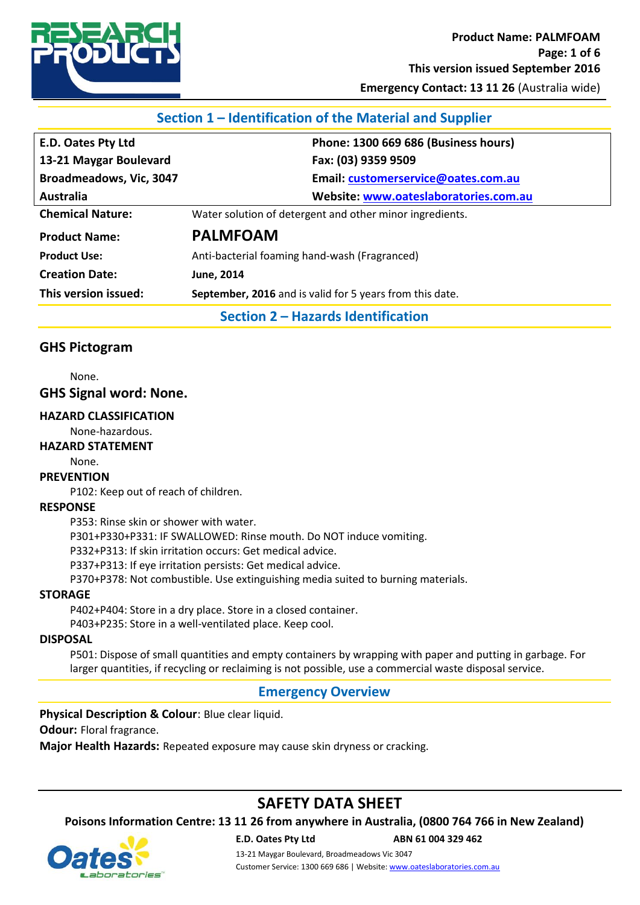

### **Section 1 – Identification of the Material and Supplier**

| <b>E.D. Oates Pty Ltd</b> | Phone: 1300 669 686 (Business hours)                     |  |
|---------------------------|----------------------------------------------------------|--|
| 13-21 Maygar Boulevard    | Fax: (03) 9359 9509                                      |  |
| Broadmeadows, Vic, 3047   | Email: customerservice@oates.com.au                      |  |
| <b>Australia</b>          | Website: www.oateslaboratories.com.au                    |  |
| <b>Chemical Nature:</b>   | Water solution of detergent and other minor ingredients. |  |
| <b>Product Name:</b>      | <b>PALMFOAM</b>                                          |  |
| <b>Product Use:</b>       | Anti-bacterial foaming hand-wash (Fragranced)            |  |
| <b>Creation Date:</b>     | June, 2014                                               |  |
| This version issued:      | September, 2016 and is valid for 5 years from this date. |  |
|                           | Section 2 - Hazards Identification                       |  |

#### **GHS Pictogram**

None.

**GHS Signal word: None.** 

#### **HAZARD CLASSIFICATION**

None-hazardous.

#### **HAZARD STATEMENT**

None.

#### **PREVENTION**

P102: Keep out of reach of children.

#### **RESPONSE**

P353: Rinse skin or shower with water.

P301+P330+P331: IF SWALLOWED: Rinse mouth. Do NOT induce vomiting.

P332+P313: If skin irritation occurs: Get medical advice.

P337+P313: If eye irritation persists: Get medical advice.

P370+P378: Not combustible. Use extinguishing media suited to burning materials.

#### **STORAGE**

P402+P404: Store in a dry place. Store in a closed container.

P403+P235: Store in a well-ventilated place. Keep cool.

#### **DISPOSAL**

P501: Dispose of small quantities and empty containers by wrapping with paper and putting in garbage. For larger quantities, if recycling or reclaiming is not possible, use a commercial waste disposal service.

#### **Emergency Overview**

**Physical Description & Colour**: Blue clear liquid.

**Odour:** Floral fragrance.

**Major Health Hazards:** Repeated exposure may cause skin dryness or cracking.

## **SAFETY DATA SHEET**

**Poisons Information Centre: 13 11 26 from anywhere in Australia, (0800 764 766 in New Zealand)**



**E.D. Oates Pty Ltd ABN 61 004 329 462**

13-21 Maygar Boulevard, Broadmeadows Vic 3047 Customer Service: 1300 669 686 | Website[: www.oateslaboratories.com.au](http://www.oateslaboratories.com.au/)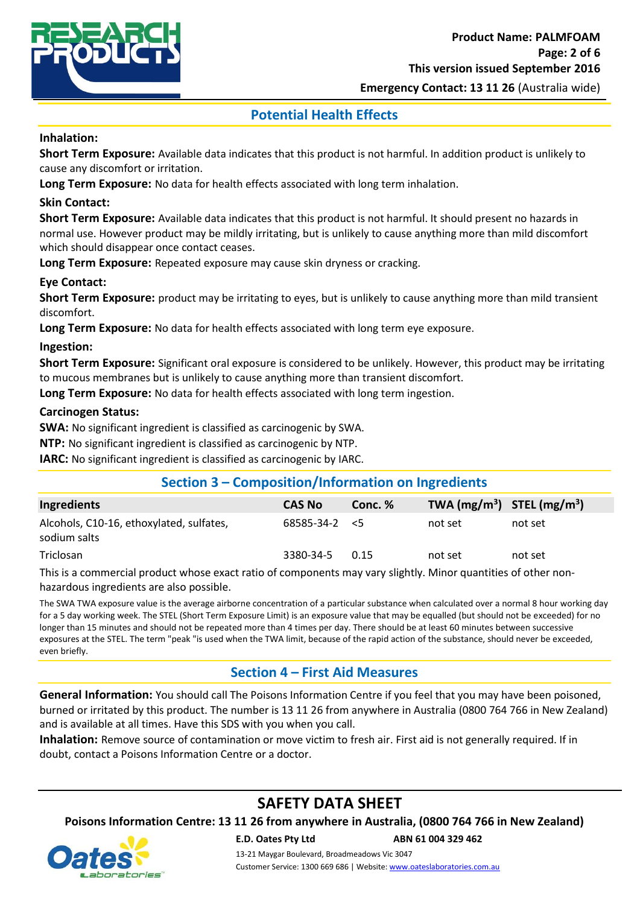

#### **Potential Health Effects**

#### **Inhalation:**

**Short Term Exposure:** Available data indicates that this product is not harmful. In addition product is unlikely to cause any discomfort or irritation.

**Long Term Exposure:** No data for health effects associated with long term inhalation.

#### **Skin Contact:**

**Short Term Exposure:** Available data indicates that this product is not harmful. It should present no hazards in normal use. However product may be mildly irritating, but is unlikely to cause anything more than mild discomfort which should disappear once contact ceases.

**Long Term Exposure:** Repeated exposure may cause skin dryness or cracking.

#### **Eye Contact:**

**Short Term Exposure:** product may be irritating to eyes, but is unlikely to cause anything more than mild transient discomfort.

**Long Term Exposure:** No data for health effects associated with long term eye exposure.

#### **Ingestion:**

**Short Term Exposure:** Significant oral exposure is considered to be unlikely. However, this product may be irritating to mucous membranes but is unlikely to cause anything more than transient discomfort.

**Long Term Exposure:** No data for health effects associated with long term ingestion.

#### **Carcinogen Status:**

**SWA:** No significant ingredient is classified as carcinogenic by SWA.

**NTP:** No significant ingredient is classified as carcinogenic by NTP.

**IARC:** No significant ingredient is classified as carcinogenic by IARC.

### **Section 3 – Composition/Information on Ingredients**

| <b>Ingredients</b>                                       | <b>CAS No</b>        | Conc. % | TWA $(mg/m^3)$ STEL $(mg/m^3)$ |         |
|----------------------------------------------------------|----------------------|---------|--------------------------------|---------|
| Alcohols, C10-16, ethoxylated, sulfates,<br>sodium salts | $68585 - 34 - 2 < 5$ |         | not set                        | not set |
| <b>Triclosan</b>                                         | 3380-34-5            | 0.15    | not set                        | not set |

This is a commercial product whose exact ratio of components may vary slightly. Minor quantities of other nonhazardous ingredients are also possible.

The SWA TWA exposure value is the average airborne concentration of a particular substance when calculated over a normal 8 hour working day for a 5 day working week. The STEL (Short Term Exposure Limit) is an exposure value that may be equalled (but should not be exceeded) for no longer than 15 minutes and should not be repeated more than 4 times per day. There should be at least 60 minutes between successive exposures at the STEL. The term "peak "is used when the TWA limit, because of the rapid action of the substance, should never be exceeded, even briefly.

### **Section 4 – First Aid Measures**

**General Information:** You should call The Poisons Information Centre if you feel that you may have been poisoned, burned or irritated by this product. The number is 13 11 26 from anywhere in Australia (0800 764 766 in New Zealand) and is available at all times. Have this SDS with you when you call.

**Inhalation:** Remove source of contamination or move victim to fresh air. First aid is not generally required. If in doubt, contact a Poisons Information Centre or a doctor.

## **SAFETY DATA SHEET**

**Poisons Information Centre: 13 11 26 from anywhere in Australia, (0800 764 766 in New Zealand)**



**E.D. Oates Pty Ltd ABN 61 004 329 462**

13-21 Maygar Boulevard, Broadmeadows Vic 3047 Customer Service: 1300 669 686 | Website[: www.oateslaboratories.com.au](http://www.oateslaboratories.com.au/)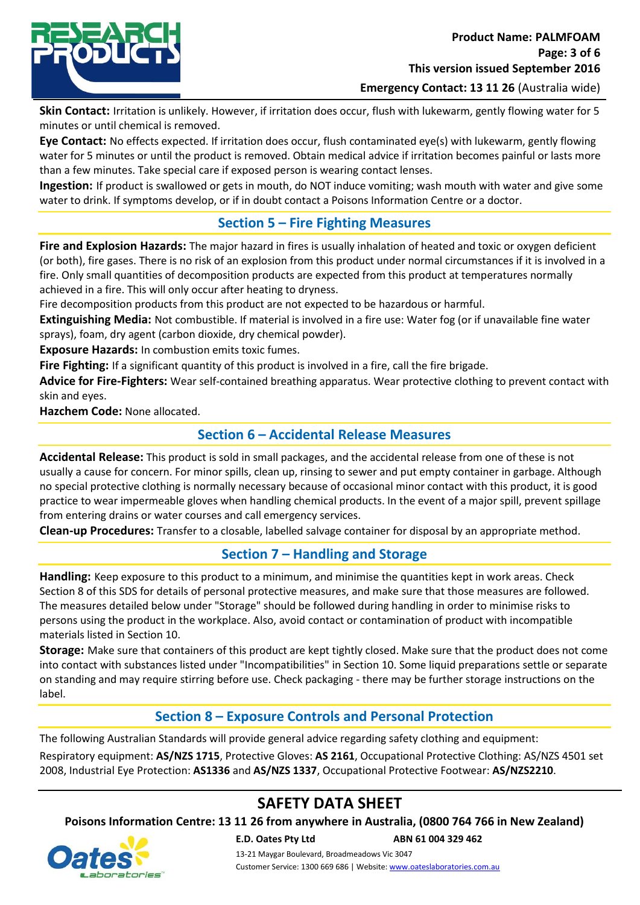

**Skin Contact:** Irritation is unlikely. However, if irritation does occur, flush with lukewarm, gently flowing water for 5 minutes or until chemical is removed.

**Eye Contact:** No effects expected. If irritation does occur, flush contaminated eye(s) with lukewarm, gently flowing water for 5 minutes or until the product is removed. Obtain medical advice if irritation becomes painful or lasts more than a few minutes. Take special care if exposed person is wearing contact lenses.

**Ingestion:** If product is swallowed or gets in mouth, do NOT induce vomiting; wash mouth with water and give some water to drink. If symptoms develop, or if in doubt contact a Poisons Information Centre or a doctor.

### **Section 5 – Fire Fighting Measures**

**Fire and Explosion Hazards:** The major hazard in fires is usually inhalation of heated and toxic or oxygen deficient (or both), fire gases. There is no risk of an explosion from this product under normal circumstances if it is involved in a fire. Only small quantities of decomposition products are expected from this product at temperatures normally achieved in a fire. This will only occur after heating to dryness.

Fire decomposition products from this product are not expected to be hazardous or harmful.

**Extinguishing Media:** Not combustible. If material is involved in a fire use: Water fog (or if unavailable fine water sprays), foam, dry agent (carbon dioxide, dry chemical powder).

**Exposure Hazards:** In combustion emits toxic fumes.

Fire Fighting: If a significant quantity of this product is involved in a fire, call the fire brigade.

**Advice for Fire-Fighters:** Wear self-contained breathing apparatus. Wear protective clothing to prevent contact with skin and eyes.

**Hazchem Code:** None allocated.

### **Section 6 – Accidental Release Measures**

**Accidental Release:** This product is sold in small packages, and the accidental release from one of these is not usually a cause for concern. For minor spills, clean up, rinsing to sewer and put empty container in garbage. Although no special protective clothing is normally necessary because of occasional minor contact with this product, it is good practice to wear impermeable gloves when handling chemical products. In the event of a major spill, prevent spillage from entering drains or water courses and call emergency services.

**Clean-up Procedures:** Transfer to a closable, labelled salvage container for disposal by an appropriate method.

### **Section 7 – Handling and Storage**

**Handling:** Keep exposure to this product to a minimum, and minimise the quantities kept in work areas. Check Section 8 of this SDS for details of personal protective measures, and make sure that those measures are followed. The measures detailed below under "Storage" should be followed during handling in order to minimise risks to persons using the product in the workplace. Also, avoid contact or contamination of product with incompatible materials listed in Section 10.

**Storage:** Make sure that containers of this product are kept tightly closed. Make sure that the product does not come into contact with substances listed under "Incompatibilities" in Section 10. Some liquid preparations settle or separate on standing and may require stirring before use. Check packaging - there may be further storage instructions on the label.

### **Section 8 – Exposure Controls and Personal Protection**

The following Australian Standards will provide general advice regarding safety clothing and equipment:

Respiratory equipment: **AS/NZS 1715**, Protective Gloves: **AS 2161**, Occupational Protective Clothing: AS/NZS 4501 set 2008, Industrial Eye Protection: **AS1336** and **AS/NZS 1337**, Occupational Protective Footwear: **AS/NZS2210**.

## **SAFETY DATA SHEET**

**Poisons Information Centre: 13 11 26 from anywhere in Australia, (0800 764 766 in New Zealand)**



**E.D. Oates Pty Ltd ABN 61 004 329 462**

13-21 Maygar Boulevard, Broadmeadows Vic 3047 Customer Service: 1300 669 686 | Website[: www.oateslaboratories.com.au](http://www.oateslaboratories.com.au/)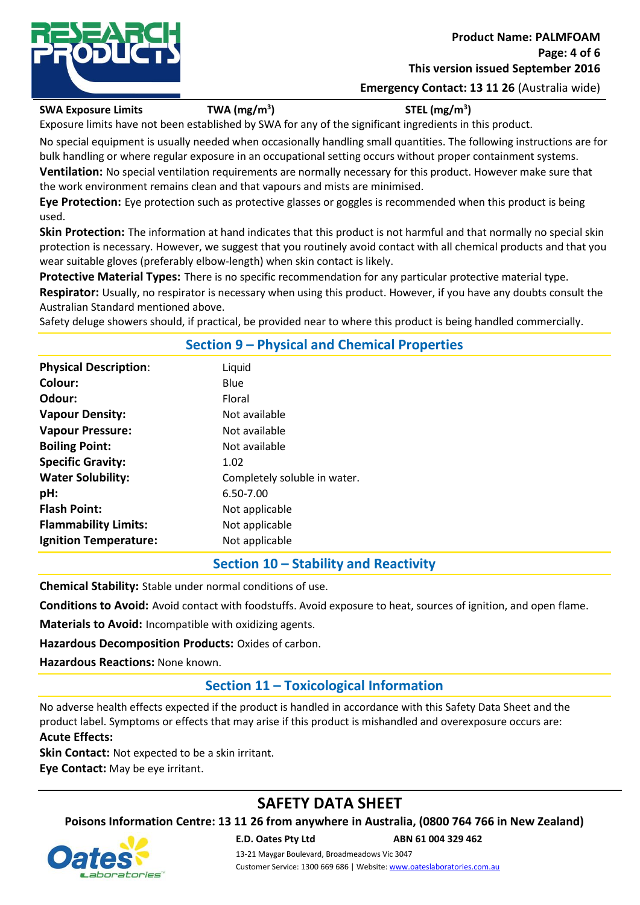

#### **SWA Exposure Limits TWA (mg/m<sup>3</sup>**

**) STEL (mg/m<sup>3</sup> )**

Exposure limits have not been established by SWA for any of the significant ingredients in this product.

No special equipment is usually needed when occasionally handling small quantities. The following instructions are for bulk handling or where regular exposure in an occupational setting occurs without proper containment systems. **Ventilation:** No special ventilation requirements are normally necessary for this product. However make sure that

the work environment remains clean and that vapours and mists are minimised.

**Eye Protection:** Eye protection such as protective glasses or goggles is recommended when this product is being used.

**Skin Protection:** The information at hand indicates that this product is not harmful and that normally no special skin protection is necessary. However, we suggest that you routinely avoid contact with all chemical products and that you wear suitable gloves (preferably elbow-length) when skin contact is likely.

**Protective Material Types:** There is no specific recommendation for any particular protective material type.

**Respirator:** Usually, no respirator is necessary when using this product. However, if you have any doubts consult the Australian Standard mentioned above.

Safety deluge showers should, if practical, be provided near to where this product is being handled commercially.

| <b>Physical Description:</b> | Liquid                       |
|------------------------------|------------------------------|
| Colour:                      | Blue                         |
| Odour:                       | Floral                       |
| <b>Vapour Density:</b>       | Not available                |
| <b>Vapour Pressure:</b>      | Not available                |
| <b>Boiling Point:</b>        | Not available                |
| <b>Specific Gravity:</b>     | 1.02                         |
| <b>Water Solubility:</b>     | Completely soluble in water. |
| pH:                          | 6.50-7.00                    |
| <b>Flash Point:</b>          | Not applicable               |
| <b>Flammability Limits:</b>  | Not applicable               |
| <b>Ignition Temperature:</b> | Not applicable               |
|                              |                              |

### **Section 9 – Physical and Chemical Properties**

#### **Section 10 – Stability and Reactivity**

**Chemical Stability:** Stable under normal conditions of use.

**Conditions to Avoid:** Avoid contact with foodstuffs. Avoid exposure to heat, sources of ignition, and open flame.

**Materials to Avoid:** Incompatible with oxidizing agents.

**Hazardous Decomposition Products:** Oxides of carbon.

**Hazardous Reactions:** None known.

### **Section 11 – Toxicological Information**

No adverse health effects expected if the product is handled in accordance with this Safety Data Sheet and the product label. Symptoms or effects that may arise if this product is mishandled and overexposure occurs are: **Acute Effects:** 

**Skin Contact:** Not expected to be a skin irritant.

**Eye Contact:** May be eye irritant.

## **SAFETY DATA SHEET**

**Poisons Information Centre: 13 11 26 from anywhere in Australia, (0800 764 766 in New Zealand)**



**E.D. Oates Pty Ltd ABN 61 004 329 462** 13-21 Maygar Boulevard, Broadmeadows Vic 3047 Customer Service: 1300 669 686 | Website[: www.oateslaboratories.com.au](http://www.oateslaboratories.com.au/)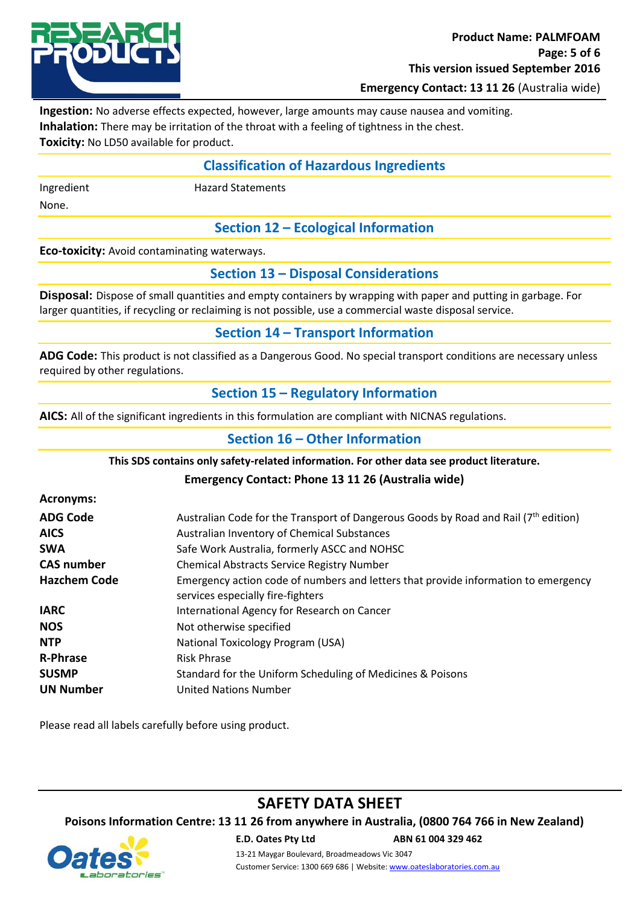

**Ingestion:** No adverse effects expected, however, large amounts may cause nausea and vomiting. **Inhalation:** There may be irritation of the throat with a feeling of tightness in the chest. **Toxicity:** No LD50 available for product.

### **Classification of Hazardous Ingredients**

Ingredient **Hazard Statements** 

None.

### **Section 12 – Ecological Information**

**Eco-toxicity:** Avoid contaminating waterways.

### **Section 13 – Disposal Considerations**

**Disposal:** Dispose of small quantities and empty containers by wrapping with paper and putting in garbage. For larger quantities, if recycling or reclaiming is not possible, use a commercial waste disposal service.

#### **Section 14 – Transport Information**

**ADG Code:** This product is not classified as a Dangerous Good. No special transport conditions are necessary unless required by other regulations.

### **Section 15 – Regulatory Information**

**AICS:** All of the significant ingredients in this formulation are compliant with NICNAS regulations.

### **Section 16 – Other Information**

**This SDS contains only safety-related information. For other data see product literature.**

#### **Emergency Contact: Phone 13 11 26 (Australia wide)**

| <b>Acronyms:</b>    |                                                                                                                         |
|---------------------|-------------------------------------------------------------------------------------------------------------------------|
| <b>ADG Code</b>     | Australian Code for the Transport of Dangerous Goods by Road and Rail (7 <sup>th</sup> edition)                         |
| <b>AICS</b>         | Australian Inventory of Chemical Substances                                                                             |
| <b>SWA</b>          | Safe Work Australia, formerly ASCC and NOHSC                                                                            |
| <b>CAS number</b>   | <b>Chemical Abstracts Service Registry Number</b>                                                                       |
| <b>Hazchem Code</b> | Emergency action code of numbers and letters that provide information to emergency<br>services especially fire-fighters |
| <b>IARC</b>         | International Agency for Research on Cancer                                                                             |
| <b>NOS</b>          | Not otherwise specified                                                                                                 |
| <b>NTP</b>          | National Toxicology Program (USA)                                                                                       |
| <b>R-Phrase</b>     | <b>Risk Phrase</b>                                                                                                      |
| <b>SUSMP</b>        | Standard for the Uniform Scheduling of Medicines & Poisons                                                              |
| <b>UN Number</b>    | <b>United Nations Number</b>                                                                                            |

Please read all labels carefully before using product.

## **SAFETY DATA SHEET**

**Poisons Information Centre: 13 11 26 from anywhere in Australia, (0800 764 766 in New Zealand)**



#### **E.D. Oates Pty Ltd ABN 61 004 329 462** 13-21 Maygar Boulevard, Broadmeadows Vic 3047 Customer Service: 1300 669 686 | Website[: www.oateslaboratories.com.au](http://www.oateslaboratories.com.au/)